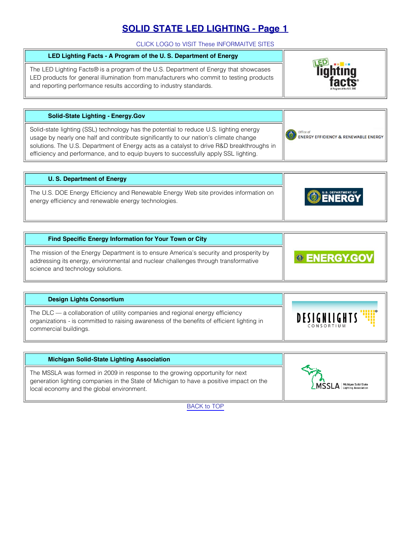## **SOLID STATE LED LIGHTING - Page 1**

CLICK LOGO to VISIT These INFORMAITVE SITES

# <span id="page-0-0"></span>**LED Lighting Facts - A Program of the U. S. Department of Energy**

The LED Lighting Facts® is a program of the U.S. Department of Energy that showcases LED products for general illumination from manufacturers who commit to testing products and reporting performance results according to industry standards.



Office of<br>ENERGY EFFICIENCY & RENEWABLE ENERGY

Office of

#### **Solid-State Lighting - Energy.Gov**

Solid-state lighting (SSL) technology has the potential to reduce U.S. lighting energy usage by nearly one half and contribute significantly to our nation's climate change solutions. The U.S. Department of Energy acts as a catalyst to drive R&D breakthroughs in efficiency and performance, and to equip buyers to successfully apply SSL lighting.

| U. S. Department of Energy                                                                                                                   |                    |
|----------------------------------------------------------------------------------------------------------------------------------------------|--------------------|
| The U.S. DOE Energy Efficiency and Renewable Energy Web site provides information on<br>energy efficiency and renewable energy technologies. | U.S. DEPARTMENT OF |

| Find Specific Energy Information for Your Town or City                                                                                                                                                            |                     |
|-------------------------------------------------------------------------------------------------------------------------------------------------------------------------------------------------------------------|---------------------|
| The mission of the Energy Department is to ensure America's security and prosperity by<br>addressing its energy, environmental and nuclear challenges through transformative<br>science and technology solutions. | <b>© ENERGY.GOV</b> |

| <b>Design Lights Consortium</b>                                                                                                                                                                      |                                   |
|------------------------------------------------------------------------------------------------------------------------------------------------------------------------------------------------------|-----------------------------------|
| The DLC — a collaboration of utility companies and regional energy efficiency<br>organizations - is committed to raising awareness of the benefits of efficient lighting in<br>commercial buildings. | <b>DESIGNLIGHTS</b><br>CONSORTIUM |

| <b>Michigan Solid-State Lighting Association</b>                                                                                                                                                                     |                                    |
|----------------------------------------------------------------------------------------------------------------------------------------------------------------------------------------------------------------------|------------------------------------|
| The MSSLA was formed in 2009 in response to the growing opportunity for next<br>generation lighting companies in the State of Michigan to have a positive impact on the<br>local economy and the global environment. | <b>LMSSLA</b> Michigan Solid-State |

[BACK to TOP](#page-0-0)